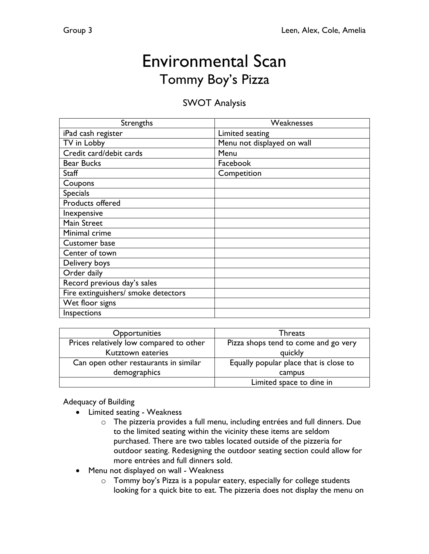# Environmental Scan Tommy Boy's Pizza

## SWOT Analysis

| Strengths                           | Weaknesses                 |
|-------------------------------------|----------------------------|
| iPad cash register                  | Limited seating            |
| TV in Lobby                         | Menu not displayed on wall |
| Credit card/debit cards             | Menu                       |
| <b>Bear Bucks</b>                   | Facebook                   |
| <b>Staff</b>                        | Competition                |
| Coupons                             |                            |
| <b>Specials</b>                     |                            |
| Products offered                    |                            |
| Inexpensive                         |                            |
| Main Street                         |                            |
| Minimal crime                       |                            |
| Customer base                       |                            |
| Center of town                      |                            |
| Delivery boys                       |                            |
| Order daily                         |                            |
| Record previous day's sales         |                            |
| Fire extinguishers/ smoke detectors |                            |
| Wet floor signs                     |                            |
| Inspections                         |                            |

| Opportunities                           | <b>Threats</b>                         |
|-----------------------------------------|----------------------------------------|
| Prices relatively low compared to other | Pizza shops tend to come and go very   |
| Kutztown eateries                       | quickly                                |
| Can open other restaurants in similar   | Equally popular place that is close to |
| demographics                            | campus                                 |
|                                         | Limited space to dine in               |

### Adequacy of Building

- Limited seating Weakness
	- o The pizzeria provides a full menu, including entrées and full dinners. Due to the limited seating within the vicinity these items are seldom purchased. There are two tables located outside of the pizzeria for outdoor seating. Redesigning the outdoor seating section could allow for more entrées and full dinners sold.
- Menu not displayed on wall Weakness
	- o Tommy boy's Pizza is a popular eatery, especially for college students looking for a quick bite to eat. The pizzeria does not display the menu on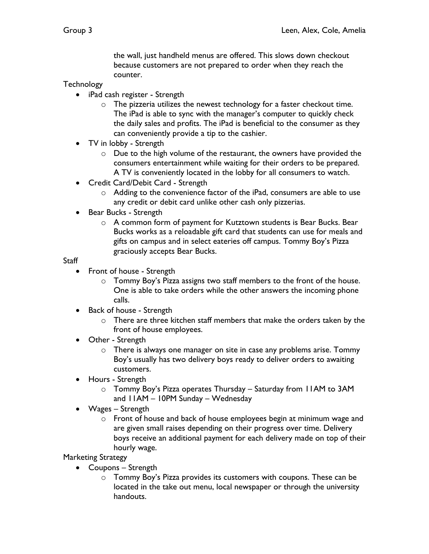the wall, just handheld menus are offered. This slows down checkout because customers are not prepared to order when they reach the counter.

#### **Technology**

- iPad cash register Strength
	- o The pizzeria utilizes the newest technology for a faster checkout time. The iPad is able to sync with the manager's computer to quickly check the daily sales and profits. The iPad is beneficial to the consumer as they can conveniently provide a tip to the cashier.
- TV in lobby Strength
	- o Due to the high volume of the restaurant, the owners have provided the consumers entertainment while waiting for their orders to be prepared. A TV is conveniently located in the lobby for all consumers to watch.
- Credit Card/Debit Card Strength
	- o Adding to the convenience factor of the iPad, consumers are able to use any credit or debit card unlike other cash only pizzerias.
- Bear Bucks Strength
	- o A common form of payment for Kutztown students is Bear Bucks. Bear Bucks works as a reloadable gift card that students can use for meals and gifts on campus and in select eateries off campus. Tommy Boy's Pizza graciously accepts Bear Bucks.

#### **Staff**

- Front of house Strength
	- o Tommy Boy's Pizza assigns two staff members to the front of the house. One is able to take orders while the other answers the incoming phone calls.
- Back of house Strength
	- o There are three kitchen staff members that make the orders taken by the front of house employees.
- Other Strength
	- o There is always one manager on site in case any problems arise. Tommy Boy's usually has two delivery boys ready to deliver orders to awaiting customers.
- Hours Strength
	- o Tommy Boy's Pizza operates Thursday Saturday from 11AM to 3AM and 11AM – 10PM Sunday – Wednesday
- Wages Strength
	- $\circ$  Front of house and back of house employees begin at minimum wage and are given small raises depending on their progress over time. Delivery boys receive an additional payment for each delivery made on top of their hourly wage.

#### Marketing Strategy

- Coupons Strength
	- o Tommy Boy's Pizza provides its customers with coupons. These can be located in the take out menu, local newspaper or through the university handouts.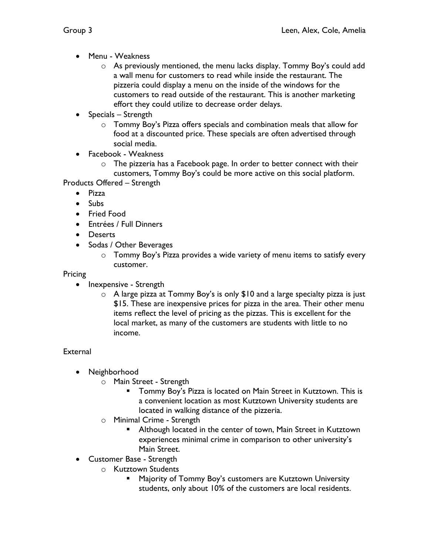- Menu Weakness
	- $\circ$  As previously mentioned, the menu lacks display. Tommy Boy's could add a wall menu for customers to read while inside the restaurant. The pizzeria could display a menu on the inside of the windows for the customers to read outside of the restaurant. This is another marketing effort they could utilize to decrease order delays.
- Specials Strength
	- o Tommy Boy's Pizza offers specials and combination meals that allow for food at a discounted price. These specials are often advertised through social media.
- Facebook Weakness
	- $\circ$  The pizzeria has a Facebook page. In order to better connect with their customers, Tommy Boy's could be more active on this social platform.
- Products Offered Strength
	- Pizza
	- Subs
	- Fried Food
	- Entrées / Full Dinners
	- Deserts
	- Sodas / Other Beverages
		- o Tommy Boy's Pizza provides a wide variety of menu items to satisfy every customer.

### Pricing

- Inexpensive Strength
	- o A large pizza at Tommy Boy's is only \$10 and a large specialty pizza is just \$15. These are inexpensive prices for pizza in the area. Their other menu items reflect the level of pricing as the pizzas. This is excellent for the local market, as many of the customers are students with little to no income.

## **External**

- Neighborhood
	- o Main Street Strength
		- Tommy Boy's Pizza is located on Main Street in Kutztown. This is a convenient location as most Kutztown University students are located in walking distance of the pizzeria.
	- o Minimal Crime Strength
		- Although located in the center of town, Main Street in Kutztown experiences minimal crime in comparison to other university's Main Street.
- Customer Base Strength
	- o Kutztown Students
		- § Majority of Tommy Boy's customers are Kutztown University students, only about 10% of the customers are local residents.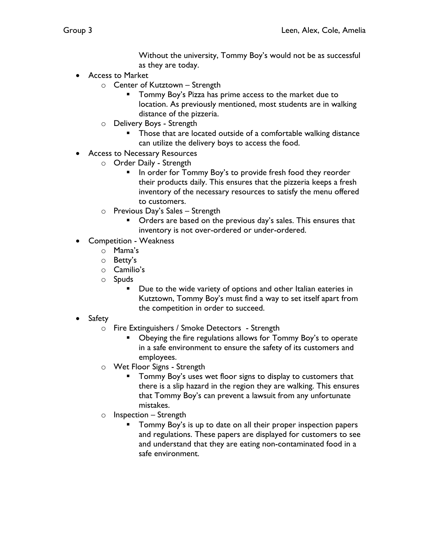Without the university, Tommy Boy's would not be as successful as they are today.

- Access to Market
	- o Center of Kutztown Strength
		- § Tommy Boy's Pizza has prime access to the market due to location. As previously mentioned, most students are in walking distance of the pizzeria.
	- o Delivery Boys Strength
		- Those that are located outside of a comfortable walking distance can utilize the delivery boys to access the food.
- Access to Necessary Resources
	- o Order Daily Strength
		- In order for Tommy Boy's to provide fresh food they reorder their products daily. This ensures that the pizzeria keeps a fresh inventory of the necessary resources to satisfy the menu offered to customers.
	- o Previous Day's Sales Strength
		- Orders are based on the previous day's sales. This ensures that inventory is not over-ordered or under-ordered.
- Competition Weakness
	- o Mama's
	- o Betty's
	- o Camilio's
	- o Spuds
		- Due to the wide variety of options and other Italian eateries in Kutztown, Tommy Boy's must find a way to set itself apart from the competition in order to succeed.
- Safety
	- o Fire Extinguishers / Smoke Detectors Strength
		- § Obeying the fire regulations allows for Tommy Boy's to operate in a safe environment to ensure the safety of its customers and employees.
	- o Wet Floor Signs Strength
		- § Tommy Boy's uses wet floor signs to display to customers that there is a slip hazard in the region they are walking. This ensures that Tommy Boy's can prevent a lawsuit from any unfortunate mistakes.
	- $\circ$  Inspection Strength
		- § Tommy Boy's is up to date on all their proper inspection papers and regulations. These papers are displayed for customers to see and understand that they are eating non-contaminated food in a safe environment.